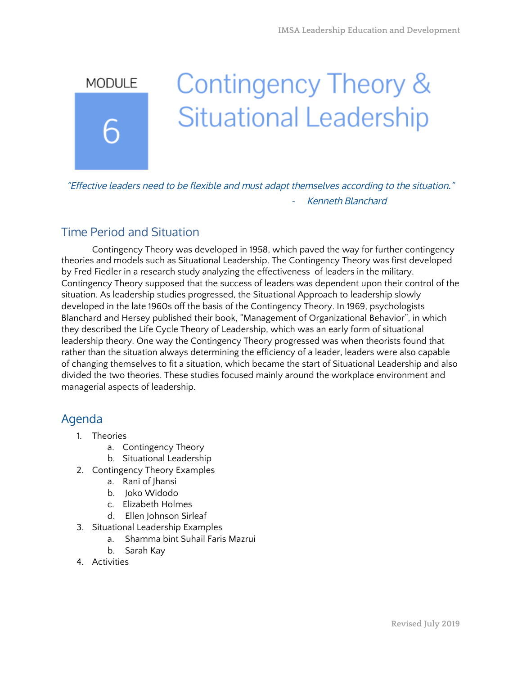# Contingency Theory & **MODULE Situational Leadership**

"Effective leaders need to be flexible and must adapt themselves according to the situation." Kenneth Blanchard

### Time Period and Situation

Contingency Theory was developed in 1958, which paved the way for further contingency theories and models such as Situational Leadership. The Contingency Theory was first developed by Fred Fiedler in a research study analyzing the effectiveness of leaders in the military. Contingency Theory supposed that the success of leaders was dependent upon their control of the situation. As leadership studies progressed, the Situational Approach to leadership slowly developed in the late 1960s off the basis of the Contingency Theory. In 1969, psychologists Blanchard and Hersey published their book, "Management of Organizational Behavior", in which they described the Life Cycle Theory of Leadership, which was an early form of situational leadership theory. One way the Contingency Theory progressed was when theorists found that rather than the situation always determining the efficiency of a leader, leaders were also capable of changing themselves to fit a situation, which became the start of Situational Leadership and also divided the two theories. These studies focused mainly around the workplace environment and managerial aspects of leadership.

### Agenda

- 1. Theories
	- a. Contingency Theory
	- b. Situational Leadership
- 2. Contingency Theory Examples
	- a. Rani of Jhansi
	- b. Joko Widodo
	- c. Elizabeth Holmes
	- d. Ellen Johnson Sirleaf
- 3. Situational Leadership Examples
	- a. Shamma bint Suhail Faris Mazrui
	- b. Sarah Kay
- 4. Activities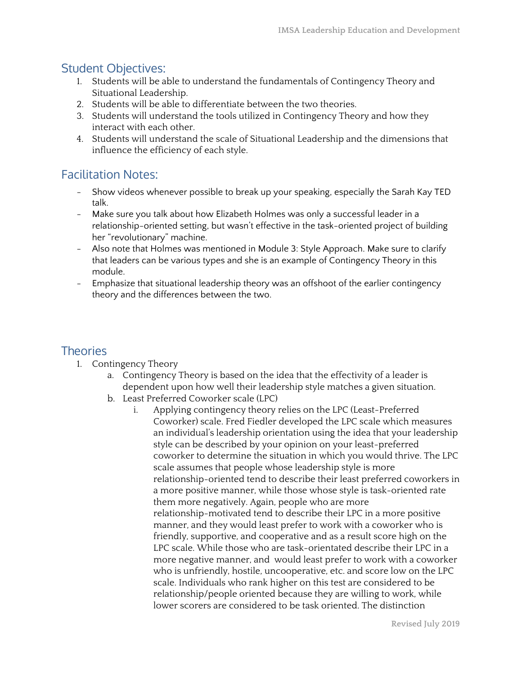### Student Objectives:

- 1. Students will be able to understand the fundamentals of Contingency Theory and Situational Leadership.
- 2. Students will be able to differentiate between the two theories.
- 3. Students will understand the tools utilized in Contingency Theory and how they interact with each other.
- 4. Students will understand the scale of Situational Leadership and the dimensions that influence the efficiency of each style.

### Facilitation Notes:

- Show videos whenever possible to break up your speaking, especially the Sarah Kay TED talk.
- Make sure you talk about how Elizabeth Holmes was only a successful leader in a relationship-oriented setting, but wasn't effective in the task-oriented project of building her "revolutionary" machine.
- Also note that Holmes was mentioned in Module 3: Style Approach. Make sure to clarify that leaders can be various types and she is an example of Contingency Theory in this module.
- Emphasize that situational leadership theory was an offshoot of the earlier contingency theory and the differences between the two.

### **Theories**

- 1. Contingency Theory
	- a. Contingency Theory is based on the idea that the effectivity of a leader is dependent upon how well their leadership style matches a given situation.
	- b. Least Preferred Coworker scale (LPC)
		- i. Applying contingency theory relies on the LPC (Least-Preferred Coworker) scale. Fred Fiedler developed the LPC scale which measures an individual's leadership orientation using the idea that your leadership style can be described by your opinion on your least-preferred coworker to determine the situation in which you would thrive. The LPC scale assumes that people whose leadership style is more relationship-oriented tend to describe their least preferred coworkers in a more positive manner, while those whose style is task-oriented rate them more negatively. Again, people who are more relationship-motivated tend to describe their LPC in a more positive manner, and they would least prefer to work with a coworker who is friendly, supportive, and cooperative and as a result score high on the LPC scale. While those who are task-orientated describe their LPC in a more negative manner, and would least prefer to work with a coworker who is unfriendly, hostile, uncooperative, etc. and score low on the LPC scale. Individuals who rank higher on this test are considered to be relationship/people oriented because they are willing to work, while lower scorers are considered to be task oriented. The distinction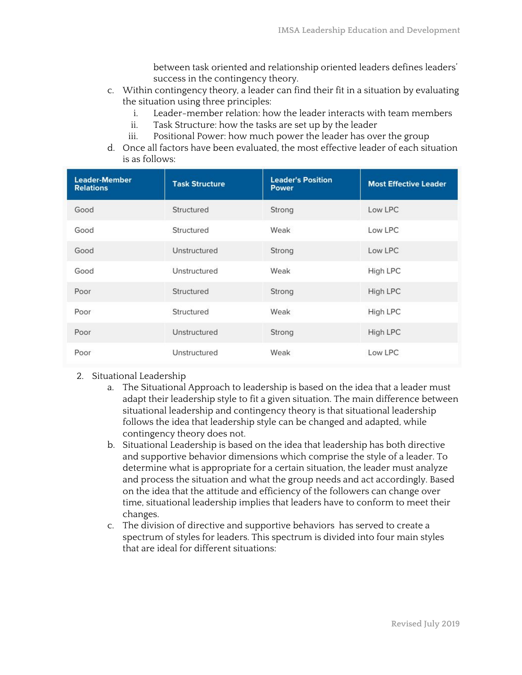between task oriented and relationship oriented leaders defines leaders' success in the contingency theory.

- c. Within contingency theory, a leader can find their fit in a situation by evaluating the situation using three principles:
	- i. Leader-member relation: how the leader interacts with team members
	- ii. Task Structure: how the tasks are set up by the leader
	- iii. Positional Power: how much power the leader has over the group
- d. Once all factors have been evaluated, the most effective leader of each situation is as follows:

| <b>Leader-Member</b><br><b>Relations</b> | <b>Task Structure</b> | <b>Leader's Position</b><br><b>Power</b> | <b>Most Effective Leader</b> |
|------------------------------------------|-----------------------|------------------------------------------|------------------------------|
| Good                                     | Structured            | Strong                                   | Low LPC                      |
| Good                                     | Structured            | Weak                                     | Low LPC                      |
| Good                                     | Unstructured          | Strong                                   | Low LPC                      |
| Good                                     | Unstructured          | Weak                                     | High LPC                     |
| Poor                                     | Structured            | Strong                                   | High LPC                     |
| Poor                                     | Structured            | Weak                                     | High LPC                     |
| Poor                                     | Unstructured          | Strong                                   | High LPC                     |
| Poor                                     | Unstructured          | Weak                                     | Low LPC                      |

#### 2. Situational Leadership

- a. The Situational Approach to leadership is based on the idea that a leader must adapt their leadership style to fit a given situation. The main difference between situational leadership and contingency theory is that situational leadership follows the idea that leadership style can be changed and adapted, while contingency theory does not.
- b. Situational Leadership is based on the idea that leadership has both directive and supportive behavior dimensions which comprise the style of a leader. To determine what is appropriate for a certain situation, the leader must analyze and process the situation and what the group needs and act accordingly. Based on the idea that the attitude and efficiency of the followers can change over time, situational leadership implies that leaders have to conform to meet their changes.
- c. The division of directive and supportive behaviors has served to create a spectrum of styles for leaders. This spectrum is divided into four main styles that are ideal for different situations: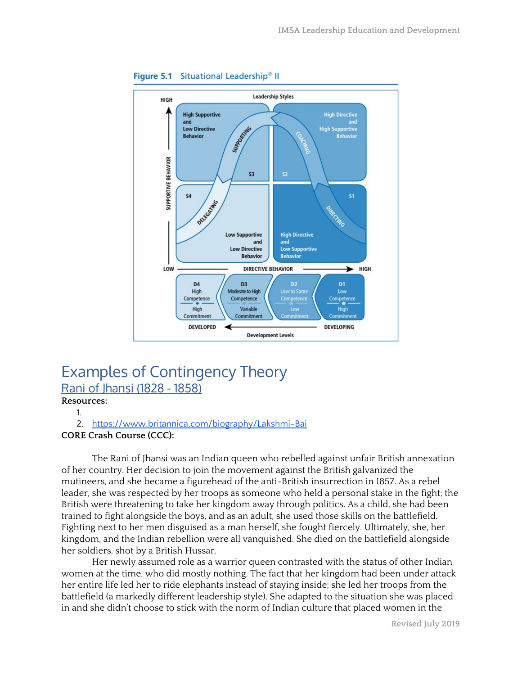

#### Figure 5.1 Situational Leadership<sup>®</sup> II

## Examples of Contingency Theory Rani of Jhansi (1828 - 1858)

**Resources:**

1.

#### 2. <https://www.britannica.com/biography/Lakshmi-Bai> **CORE Crash Course (CCC):**

The Rani of Jhansi was an Indian queen who rebelled against unfair British annexation of her country. Her decision to join the movement against the British galvanized the mutineers, and she became a figurehead of the anti-British insurrection in 1857. As a rebel leader, she was respected by her troops as someone who held a personal stake in the fight; the British were threatening to take her kingdom away through politics. As a child, she had been trained to fight alongside the boys, and as an adult, she used those skills on the battlefield. Fighting next to her men disguised as a man herself, she fought fiercely. Ultimately, she, her kingdom, and the Indian rebellion were all vanquished. She died on the battlefield alongside her soldiers, shot by a British Hussar.

Her newly assumed role as a warrior queen contrasted with the status of other Indian women at the time, who did mostly nothing. The fact that her kingdom had been under attack her entire life led her to ride elephants instead of staying inside; she led her troops from the battlefield (a markedly different leadership style). She adapted to the situation she was placed in and she didn't choose to stick with the norm of Indian culture that placed women in the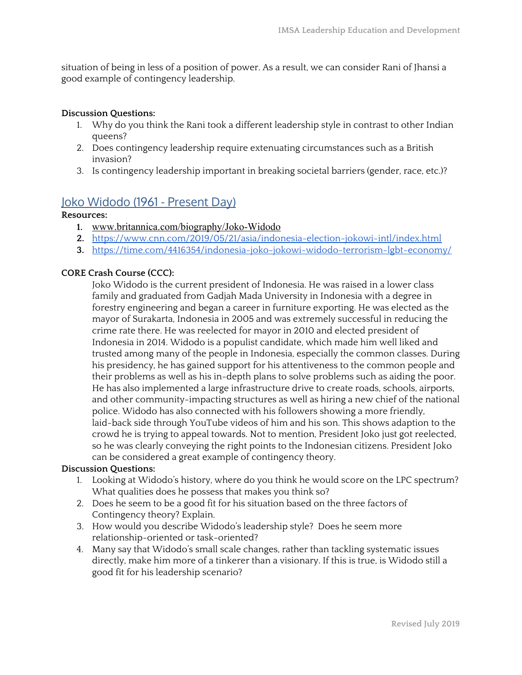situation of being in less of a position of power. As a result, we can consider Rani of Jhansi a good example of contingency leadership.

#### **Discussion Questions:**

- 1. Why do you think the Rani took a different leadership style in contrast to other Indian queens?
- 2. Does contingency leadership require extenuating circumstances such as a British invasion?
- 3. Is contingency leadership important in breaking societal barriers (gender, race, etc.)?

### Joko Widodo (1961 - Present Day)

#### **Resources:**

- **1.** [www.britannica.com/biography/Joko-Widodo](http://www.britannica.com/biography/Joko-Widodo)
- **2.** <https://www.cnn.com/2019/05/21/asia/indonesia-election-jokowi-intl/index.html>
- **3.** <https://time.com/4416354/indonesia-joko-jokowi-widodo-terrorism-lgbt-economy/>

#### **CORE Crash Course (CCC):**

Joko Widodo is the current president of Indonesia. He was raised in a lower class family and graduated from Gadjah Mada University in Indonesia with a degree in forestry engineering and began a career in furniture exporting. He was elected as the mayor of Surakarta, Indonesia in 2005 and was extremely successful in reducing the crime rate there. He was reelected for mayor in 2010 and elected president of Indonesia in 2014. Widodo is a populist candidate, which made him well liked and trusted among many of the people in Indonesia, especially the common classes. During his presidency, he has gained support for his attentiveness to the common people and their problems as well as his in-depth plans to solve problems such as aiding the poor. He has also implemented a large infrastructure drive to create roads, schools, airports, and other community-impacting structures as well as hiring a new chief of the national police. Widodo has also connected with his followers showing a more friendly, laid-back side through YouTube videos of him and his son. This shows adaption to the crowd he is trying to appeal towards. Not to mention, President Joko just got reelected, so he was clearly conveying the right points to the Indonesian citizens. President Joko can be considered a great example of contingency theory.

#### **Discussion Questions:**

- 1. Looking at Widodo's history, where do you think he would score on the LPC spectrum? What qualities does he possess that makes you think so?
- 2. Does he seem to be a good fit for his situation based on the three factors of Contingency theory? Explain.
- 3. How would you describe Widodo's leadership style? Does he seem more relationship-oriented or task-oriented?
- 4. Many say that Widodo's small scale changes, rather than tackling systematic issues directly, make him more of a tinkerer than a visionary. If this is true, is Widodo still a good fit for his leadership scenario?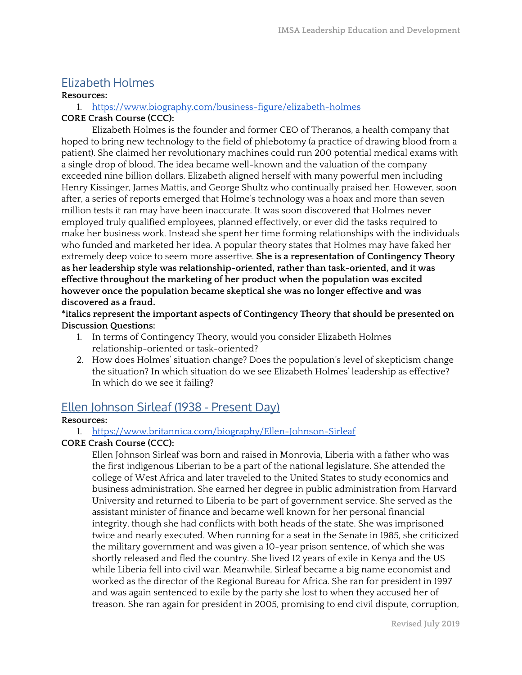### Elizabeth Holmes

#### **Resources:**

#### 1. <https://www.biography.com/business-figure/elizabeth-holmes>

#### **CORE Crash Course (CCC):**

Elizabeth Holmes is the founder and former CEO of Theranos, a health company that hoped to bring new technology to the field of phlebotomy (a practice of drawing blood from a patient). She claimed her revolutionary machines could run 200 potential medical exams with a single drop of blood. The idea became well-known and the valuation of the company exceeded nine billion dollars. Elizabeth aligned herself with many powerful men including Henry Kissinger, James Mattis, and George Shultz who continually praised her. However, soon after, a series of reports emerged that Holme's technology was a hoax and more than seven million tests it ran may have been inaccurate. It was soon discovered that Holmes never employed truly qualified employees, planned effectively, or ever did the tasks required to make her business work. Instead she spent her time forming relationships with the individuals who funded and marketed her idea. A popular theory states that Holmes may have faked her extremely deep voice to seem more assertive. **She is a representation of Contingency Theory as her leadership style was relationship-oriented, rather than task-oriented, and it was effective throughout the marketing of her product when the population was excited however once the population became skeptical she was no longer effective and was discovered as a fraud.**

**\*italics represent the important aspects of Contingency Theory that should be presented on Discussion Questions:**

- 1. In terms of Contingency Theory, would you consider Elizabeth Holmes relationship-oriented or task-oriented?
- 2. How does Holmes' situation change? Does the population's level of skepticism change the situation? In which situation do we see Elizabeth Holmes' leadership as effective? In which do we see it failing?

### Ellen Johnson Sirleaf (1938 - Present Day)

#### **Resources:**

#### 1. <https://www.britannica.com/biography/Ellen-Johnson-Sirleaf>

#### **CORE Crash Course (CCC):**

Ellen Johnson Sirleaf was born and raised in Monrovia, Liberia with a father who was the first indigenous Liberian to be a part of the national legislature. She attended the college of West Africa and later traveled to the United States to study economics and business administration. She earned her degree in public administration from Harvard University and returned to Liberia to be part of government service. She served as the assistant minister of finance and became well known for her personal financial integrity, though she had conflicts with both heads of the state. She was imprisoned twice and nearly executed. When running for a seat in the Senate in 1985, she criticized the military government and was given a 10-year prison sentence, of which she was shortly released and fled the country. She lived 12 years of exile in Kenya and the US while Liberia fell into civil war. Meanwhile, Sirleaf became a big name economist and worked as the director of the Regional Bureau for Africa. She ran for president in 1997 and was again sentenced to exile by the party she lost to when they accused her of treason. She ran again for president in 2005, promising to end civil dispute, corruption,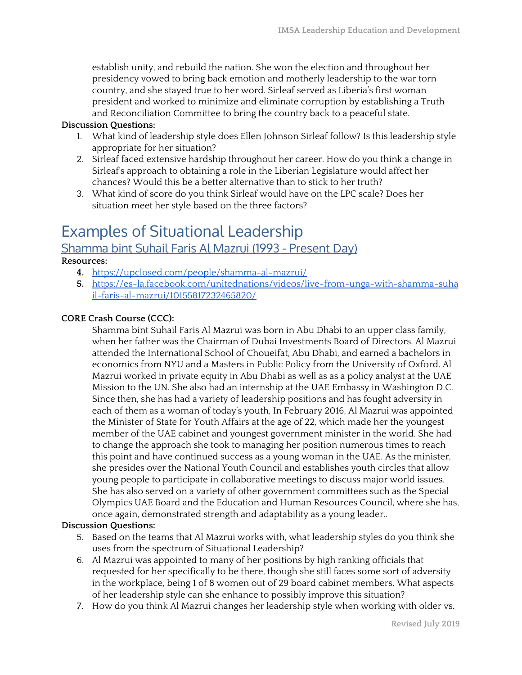establish unity, and rebuild the nation. She won the election and throughout her presidency vowed to bring back emotion and motherly leadership to the war torn country, and she stayed true to her word. Sirleaf served as Liberia's first woman president and worked to minimize and eliminate corruption by establishing a Truth and Reconciliation Committee to bring the country back to a peaceful state.

#### **Discussion Questions:**

- 1. What kind of leadership style does Ellen Johnson Sirleaf follow? Is this leadership style appropriate for her situation?
- 2. Sirleaf faced extensive hardship throughout her career. How do you think a change in Sirleaf's approach to obtaining a role in the Liberian Legislature would affect her chances? Would this be a better alternative than to stick to her truth?
- 3. What kind of score do you think Sirleaf would have on the LPC scale? Does her situation meet her style based on the three factors?

# Examples of Situational Leadership

### Shamma bint Suhail Faris Al Mazrui (1993 - Present Day)

**Resources:**

- **4.** <https://upclosed.com/people/shamma-al-mazrui/>
- **5.** [https://es-la.facebook.com/unitednations/videos/live-from-unga-with-shamma-suha](https://es-la.facebook.com/unitednations/videos/live-from-unga-with-shamma-suhail-faris-al-mazrui/10155817232465820/) [il-faris-al-mazrui/10155817232465820/](https://es-la.facebook.com/unitednations/videos/live-from-unga-with-shamma-suhail-faris-al-mazrui/10155817232465820/)

#### **CORE Crash Course (CCC):**

Shamma bint Suhail Faris Al Mazrui was born in Abu Dhabi to an upper class family, when her father was the Chairman of Dubai Investments Board of Directors. Al Mazrui attended the International School of Choueifat, Abu Dhabi, and earned a bachelors in economics from NYU and a Masters in Public Policy from the University of Oxford. Al Mazrui worked in private equity in Abu Dhabi as well as as a policy analyst at the UAE Mission to the UN. She also had an internship at the UAE Embassy in Washington D.C. Since then, she has had a variety of leadership positions and has fought adversity in each of them as a woman of today's youth, In February 2016, Al Mazrui was appointed the Minister of State for Youth Affairs at the age of 22, which made her the youngest member of the UAE cabinet and youngest government minister in the world. She had to change the approach she took to managing her position numerous times to reach this point and have continued success as a young woman in the UAE. As the minister, she presides over the National Youth Council and establishes youth circles that allow young people to participate in collaborative meetings to discuss major world issues. She has also served on a variety of other government committees such as the Special Olympics UAE Board and the Education and Human Resources Council, where she has, once again, demonstrated strength and adaptability as a young leader..

#### **Discussion Questions:**

- 5. Based on the teams that Al Mazrui works with, what leadership styles do you think she uses from the spectrum of Situational Leadership?
- 6. Al Mazrui was appointed to many of her positions by high ranking officials that requested for her specifically to be there, though she still faces some sort of adversity in the workplace, being 1 of 8 women out of 29 board cabinet members. What aspects of her leadership style can she enhance to possibly improve this situation?
- 7. How do you think Al Mazrui changes her leadership style when working with older vs.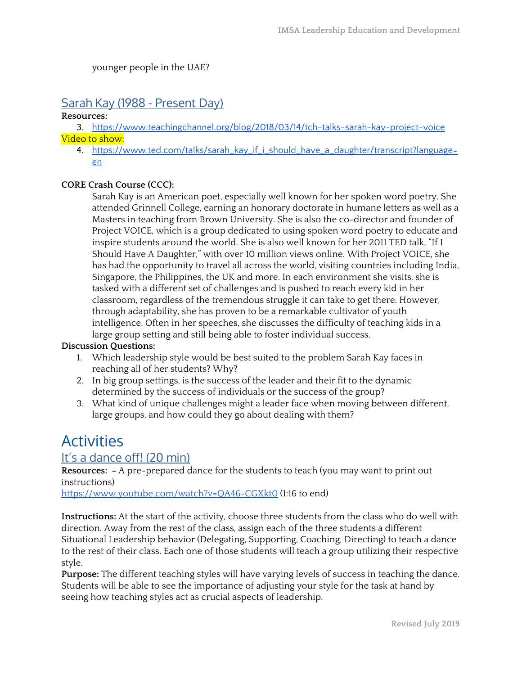younger people in the UAE?

### Sarah Kay (1988 - Present Day)

#### **Resources:**

3. <https://www.teachingchannel.org/blog/2018/03/14/tch-talks-sarah-kay-project-voice> Video to show:

4. [https://www.ted.com/talks/sarah\\_kay\\_if\\_i\\_should\\_have\\_a\\_daughter/transcript?language=](https://www.ted.com/talks/sarah_kay_if_i_should_have_a_daughter/transcript?language=en) [en](https://www.ted.com/talks/sarah_kay_if_i_should_have_a_daughter/transcript?language=en)

#### **CORE Crash Course (CCC):**

Sarah Kay is an American poet, especially well known for her spoken word poetry. She attended Grinnell College, earning an honorary doctorate in humane letters as well as a Masters in teaching from Brown University. She is also the co-director and founder of Project VOICE, which is a group dedicated to using spoken word poetry to educate and inspire students around the world. She is also well known for her 2011 TED talk, "If I Should Have A Daughter," with over 10 million views online. With Project VOICE, she has had the opportunity to travel all across the world, visiting countries including India, Singapore, the Philippines, the UK and more. In each environment she visits, she is tasked with a different set of challenges and is pushed to reach every kid in her classroom, regardless of the tremendous struggle it can take to get there. However, through adaptability, she has proven to be a remarkable cultivator of youth intelligence. Often in her speeches, she discusses the difficulty of teaching kids in a large group setting and still being able to foster individual success.

#### **Discussion Questions:**

- 1. Which leadership style would be best suited to the problem Sarah Kay faces in reaching all of her students? Why?
- 2. In big group settings, is the success of the leader and their fit to the dynamic determined by the success of individuals or the success of the group?
- 3. What kind of unique challenges might a leader face when moving between different, large groups, and how could they go about dealing with them?

# **Activities**

### It's a dance off! (20 min)

**Resources: -** A pre-prepared dance for the students to teach (you may want to print out instructions)

<https://www.youtube.com/watch?v=QA46-CGXkt0> (1:16 to end)

**Instructions:** At the start of the activity, choose three students from the class who do well with direction. Away from the rest of the class, assign each of the three students a different Situational Leadership behavior (Delegating, Supporting, Coaching, Directing) to teach a dance to the rest of their class. Each one of those students will teach a group utilizing their respective style.

**Purpose:** The different teaching styles will have varying levels of success in teaching the dance. Students will be able to see the importance of adjusting your style for the task at hand by seeing how teaching styles act as crucial aspects of leadership.